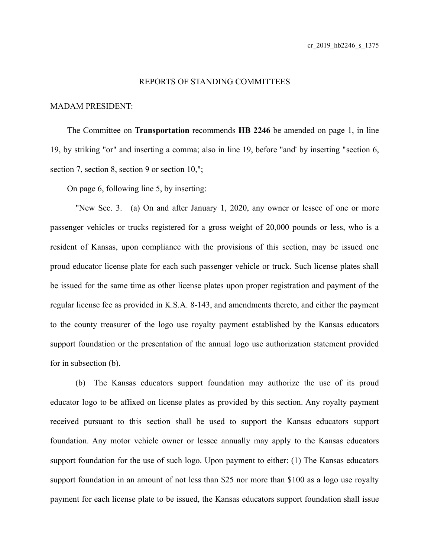## REPORTS OF STANDING COMMITTEES

## MADAM PRESIDENT:

The Committee on **Transportation** recommends **HB 2246** be amended on page 1, in line 19, by striking "or" and inserting a comma; also in line 19, before "and' by inserting "section 6, section 7, section 8, section 9 or section 10,";

On page 6, following line 5, by inserting:

"New Sec. 3. (a) On and after January 1, 2020, any owner or lessee of one or more passenger vehicles or trucks registered for a gross weight of 20,000 pounds or less, who is a resident of Kansas, upon compliance with the provisions of this section, may be issued one proud educator license plate for each such passenger vehicle or truck. Such license plates shall be issued for the same time as other license plates upon proper registration and payment of the regular license fee as provided in K.S.A. 8-143, and amendments thereto, and either the payment to the county treasurer of the logo use royalty payment established by the Kansas educators support foundation or the presentation of the annual logo use authorization statement provided for in subsection (b).

(b) The Kansas educators support foundation may authorize the use of its proud educator logo to be affixed on license plates as provided by this section. Any royalty payment received pursuant to this section shall be used to support the Kansas educators support foundation. Any motor vehicle owner or lessee annually may apply to the Kansas educators support foundation for the use of such logo. Upon payment to either: (1) The Kansas educators support foundation in an amount of not less than \$25 nor more than \$100 as a logo use royalty payment for each license plate to be issued, the Kansas educators support foundation shall issue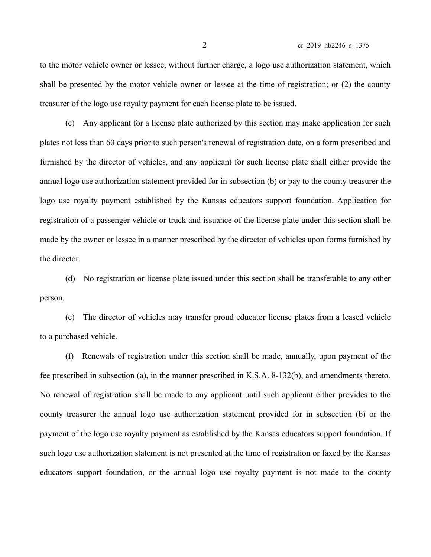to the motor vehicle owner or lessee, without further charge, a logo use authorization statement, which shall be presented by the motor vehicle owner or lessee at the time of registration; or (2) the county treasurer of the logo use royalty payment for each license plate to be issued.

(c) Any applicant for a license plate authorized by this section may make application for such plates not less than 60 days prior to such person's renewal of registration date, on a form prescribed and furnished by the director of vehicles, and any applicant for such license plate shall either provide the annual logo use authorization statement provided for in subsection (b) or pay to the county treasurer the logo use royalty payment established by the Kansas educators support foundation. Application for registration of a passenger vehicle or truck and issuance of the license plate under this section shall be made by the owner or lessee in a manner prescribed by the director of vehicles upon forms furnished by the director.

(d) No registration or license plate issued under this section shall be transferable to any other person.

(e) The director of vehicles may transfer proud educator license plates from a leased vehicle to a purchased vehicle.

(f) Renewals of registration under this section shall be made, annually, upon payment of the fee prescribed in subsection (a), in the manner prescribed in K.S.A. 8-132(b), and amendments thereto. No renewal of registration shall be made to any applicant until such applicant either provides to the county treasurer the annual logo use authorization statement provided for in subsection (b) or the payment of the logo use royalty payment as established by the Kansas educators support foundation. If such logo use authorization statement is not presented at the time of registration or faxed by the Kansas educators support foundation, or the annual logo use royalty payment is not made to the county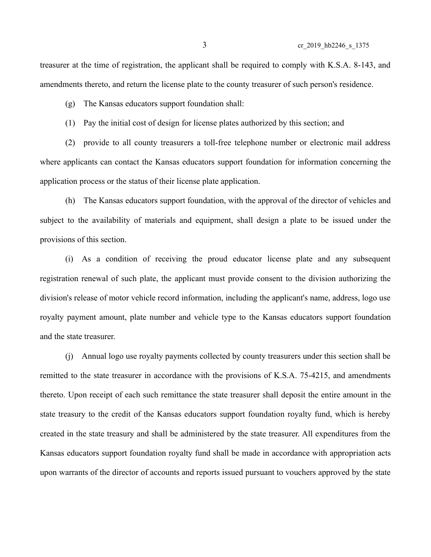treasurer at the time of registration, the applicant shall be required to comply with K.S.A. 8-143, and amendments thereto, and return the license plate to the county treasurer of such person's residence.

(g) The Kansas educators support foundation shall:

(1) Pay the initial cost of design for license plates authorized by this section; and

(2) provide to all county treasurers a toll-free telephone number or electronic mail address where applicants can contact the Kansas educators support foundation for information concerning the application process or the status of their license plate application.

(h) The Kansas educators support foundation, with the approval of the director of vehicles and subject to the availability of materials and equipment, shall design a plate to be issued under the provisions of this section.

(i) As a condition of receiving the proud educator license plate and any subsequent registration renewal of such plate, the applicant must provide consent to the division authorizing the division's release of motor vehicle record information, including the applicant's name, address, logo use royalty payment amount, plate number and vehicle type to the Kansas educators support foundation and the state treasurer.

(j) Annual logo use royalty payments collected by county treasurers under this section shall be remitted to the state treasurer in accordance with the provisions of K.S.A. 75-4215, and amendments thereto. Upon receipt of each such remittance the state treasurer shall deposit the entire amount in the state treasury to the credit of the Kansas educators support foundation royalty fund, which is hereby created in the state treasury and shall be administered by the state treasurer. All expenditures from the Kansas educators support foundation royalty fund shall be made in accordance with appropriation acts upon warrants of the director of accounts and reports issued pursuant to vouchers approved by the state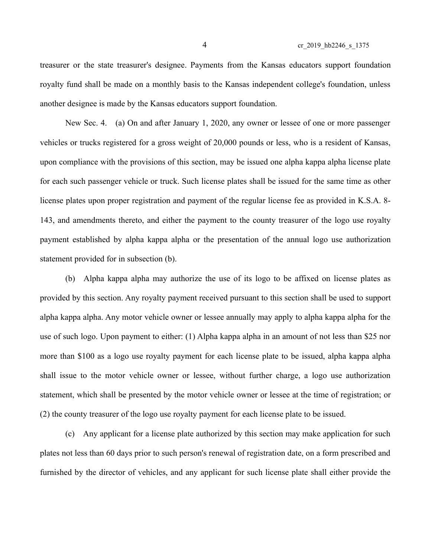treasurer or the state treasurer's designee. Payments from the Kansas educators support foundation royalty fund shall be made on a monthly basis to the Kansas independent college's foundation, unless another designee is made by the Kansas educators support foundation.

New Sec. 4. (a) On and after January 1, 2020, any owner or lessee of one or more passenger vehicles or trucks registered for a gross weight of 20,000 pounds or less, who is a resident of Kansas, upon compliance with the provisions of this section, may be issued one alpha kappa alpha license plate for each such passenger vehicle or truck. Such license plates shall be issued for the same time as other license plates upon proper registration and payment of the regular license fee as provided in K.S.A. 8- 143, and amendments thereto, and either the payment to the county treasurer of the logo use royalty payment established by alpha kappa alpha or the presentation of the annual logo use authorization statement provided for in subsection (b).

(b) Alpha kappa alpha may authorize the use of its logo to be affixed on license plates as provided by this section. Any royalty payment received pursuant to this section shall be used to support alpha kappa alpha. Any motor vehicle owner or lessee annually may apply to alpha kappa alpha for the use of such logo. Upon payment to either: (1) Alpha kappa alpha in an amount of not less than \$25 nor more than \$100 as a logo use royalty payment for each license plate to be issued, alpha kappa alpha shall issue to the motor vehicle owner or lessee, without further charge, a logo use authorization statement, which shall be presented by the motor vehicle owner or lessee at the time of registration; or (2) the county treasurer of the logo use royalty payment for each license plate to be issued.

(c) Any applicant for a license plate authorized by this section may make application for such plates not less than 60 days prior to such person's renewal of registration date, on a form prescribed and furnished by the director of vehicles, and any applicant for such license plate shall either provide the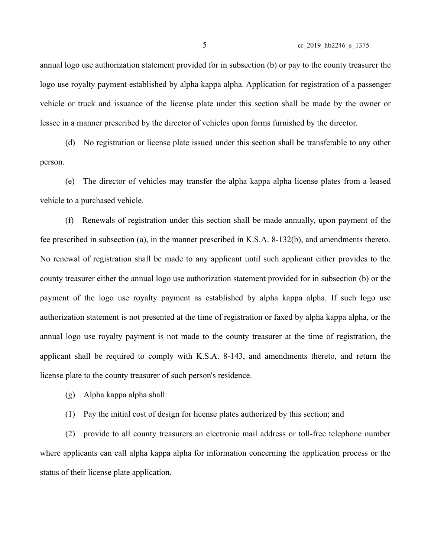5 cr\_2019\_hb2246\_s\_1375

annual logo use authorization statement provided for in subsection (b) or pay to the county treasurer the logo use royalty payment established by alpha kappa alpha. Application for registration of a passenger vehicle or truck and issuance of the license plate under this section shall be made by the owner or lessee in a manner prescribed by the director of vehicles upon forms furnished by the director.

(d) No registration or license plate issued under this section shall be transferable to any other person.

(e) The director of vehicles may transfer the alpha kappa alpha license plates from a leased vehicle to a purchased vehicle.

(f) Renewals of registration under this section shall be made annually, upon payment of the fee prescribed in subsection (a), in the manner prescribed in K.S.A. 8-132(b), and amendments thereto. No renewal of registration shall be made to any applicant until such applicant either provides to the county treasurer either the annual logo use authorization statement provided for in subsection (b) or the payment of the logo use royalty payment as established by alpha kappa alpha. If such logo use authorization statement is not presented at the time of registration or faxed by alpha kappa alpha, or the annual logo use royalty payment is not made to the county treasurer at the time of registration, the applicant shall be required to comply with K.S.A. 8-143, and amendments thereto, and return the license plate to the county treasurer of such person's residence.

- (g) Alpha kappa alpha shall:
- (1) Pay the initial cost of design for license plates authorized by this section; and

(2) provide to all county treasurers an electronic mail address or toll-free telephone number where applicants can call alpha kappa alpha for information concerning the application process or the status of their license plate application.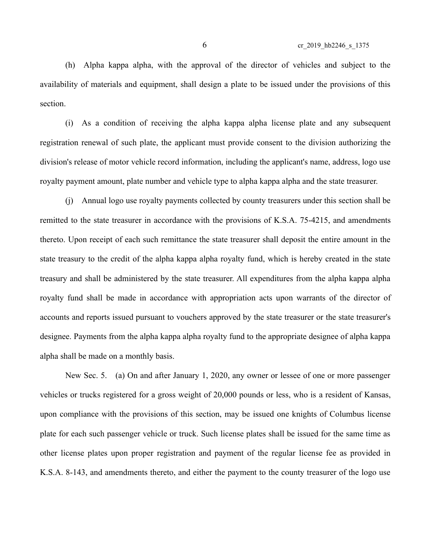6 cr\_2019\_hb2246\_s\_1375

(h) Alpha kappa alpha, with the approval of the director of vehicles and subject to the availability of materials and equipment, shall design a plate to be issued under the provisions of this section.

(i) As a condition of receiving the alpha kappa alpha license plate and any subsequent registration renewal of such plate, the applicant must provide consent to the division authorizing the division's release of motor vehicle record information, including the applicant's name, address, logo use royalty payment amount, plate number and vehicle type to alpha kappa alpha and the state treasurer.

(j) Annual logo use royalty payments collected by county treasurers under this section shall be remitted to the state treasurer in accordance with the provisions of K.S.A. 75-4215, and amendments thereto. Upon receipt of each such remittance the state treasurer shall deposit the entire amount in the state treasury to the credit of the alpha kappa alpha royalty fund, which is hereby created in the state treasury and shall be administered by the state treasurer. All expenditures from the alpha kappa alpha royalty fund shall be made in accordance with appropriation acts upon warrants of the director of accounts and reports issued pursuant to vouchers approved by the state treasurer or the state treasurer's designee. Payments from the alpha kappa alpha royalty fund to the appropriate designee of alpha kappa alpha shall be made on a monthly basis.

New Sec. 5. (a) On and after January 1, 2020, any owner or lessee of one or more passenger vehicles or trucks registered for a gross weight of 20,000 pounds or less, who is a resident of Kansas, upon compliance with the provisions of this section, may be issued one knights of Columbus license plate for each such passenger vehicle or truck. Such license plates shall be issued for the same time as other license plates upon proper registration and payment of the regular license fee as provided in K.S.A. 8-143, and amendments thereto, and either the payment to the county treasurer of the logo use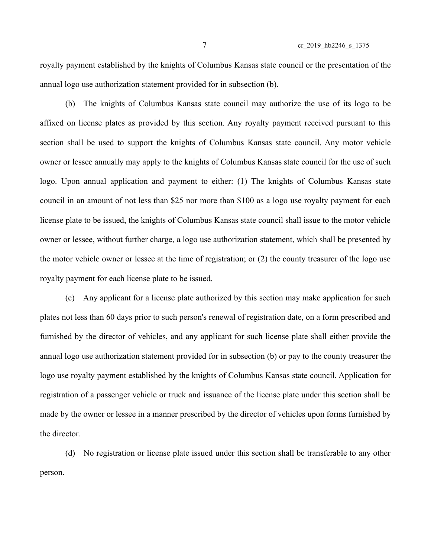royalty payment established by the knights of Columbus Kansas state council or the presentation of the annual logo use authorization statement provided for in subsection (b).

(b) The knights of Columbus Kansas state council may authorize the use of its logo to be affixed on license plates as provided by this section. Any royalty payment received pursuant to this section shall be used to support the knights of Columbus Kansas state council. Any motor vehicle owner or lessee annually may apply to the knights of Columbus Kansas state council for the use of such logo. Upon annual application and payment to either: (1) The knights of Columbus Kansas state council in an amount of not less than \$25 nor more than \$100 as a logo use royalty payment for each license plate to be issued, the knights of Columbus Kansas state council shall issue to the motor vehicle owner or lessee, without further charge, a logo use authorization statement, which shall be presented by the motor vehicle owner or lessee at the time of registration; or (2) the county treasurer of the logo use royalty payment for each license plate to be issued.

(c) Any applicant for a license plate authorized by this section may make application for such plates not less than 60 days prior to such person's renewal of registration date, on a form prescribed and furnished by the director of vehicles, and any applicant for such license plate shall either provide the annual logo use authorization statement provided for in subsection (b) or pay to the county treasurer the logo use royalty payment established by the knights of Columbus Kansas state council. Application for registration of a passenger vehicle or truck and issuance of the license plate under this section shall be made by the owner or lessee in a manner prescribed by the director of vehicles upon forms furnished by the director.

(d) No registration or license plate issued under this section shall be transferable to any other person.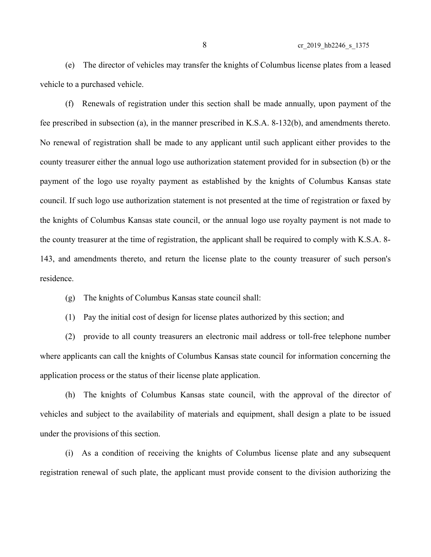(e) The director of vehicles may transfer the knights of Columbus license plates from a leased vehicle to a purchased vehicle.

(f) Renewals of registration under this section shall be made annually, upon payment of the fee prescribed in subsection (a), in the manner prescribed in K.S.A. 8-132(b), and amendments thereto. No renewal of registration shall be made to any applicant until such applicant either provides to the county treasurer either the annual logo use authorization statement provided for in subsection (b) or the payment of the logo use royalty payment as established by the knights of Columbus Kansas state council. If such logo use authorization statement is not presented at the time of registration or faxed by the knights of Columbus Kansas state council, or the annual logo use royalty payment is not made to the county treasurer at the time of registration, the applicant shall be required to comply with K.S.A. 8- 143, and amendments thereto, and return the license plate to the county treasurer of such person's residence.

(g) The knights of Columbus Kansas state council shall:

(1) Pay the initial cost of design for license plates authorized by this section; and

(2) provide to all county treasurers an electronic mail address or toll-free telephone number where applicants can call the knights of Columbus Kansas state council for information concerning the application process or the status of their license plate application.

(h) The knights of Columbus Kansas state council, with the approval of the director of vehicles and subject to the availability of materials and equipment, shall design a plate to be issued under the provisions of this section.

(i) As a condition of receiving the knights of Columbus license plate and any subsequent registration renewal of such plate, the applicant must provide consent to the division authorizing the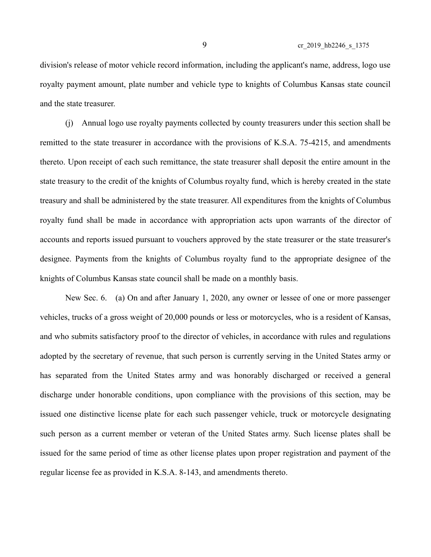division's release of motor vehicle record information, including the applicant's name, address, logo use royalty payment amount, plate number and vehicle type to knights of Columbus Kansas state council and the state treasurer.

(j) Annual logo use royalty payments collected by county treasurers under this section shall be remitted to the state treasurer in accordance with the provisions of K.S.A. 75-4215, and amendments thereto. Upon receipt of each such remittance, the state treasurer shall deposit the entire amount in the state treasury to the credit of the knights of Columbus royalty fund, which is hereby created in the state treasury and shall be administered by the state treasurer. All expenditures from the knights of Columbus royalty fund shall be made in accordance with appropriation acts upon warrants of the director of accounts and reports issued pursuant to vouchers approved by the state treasurer or the state treasurer's designee. Payments from the knights of Columbus royalty fund to the appropriate designee of the knights of Columbus Kansas state council shall be made on a monthly basis.

New Sec. 6. (a) On and after January 1, 2020, any owner or lessee of one or more passenger vehicles, trucks of a gross weight of 20,000 pounds or less or motorcycles, who is a resident of Kansas, and who submits satisfactory proof to the director of vehicles, in accordance with rules and regulations adopted by the secretary of revenue, that such person is currently serving in the United States army or has separated from the United States army and was honorably discharged or received a general discharge under honorable conditions, upon compliance with the provisions of this section, may be issued one distinctive license plate for each such passenger vehicle, truck or motorcycle designating such person as a current member or veteran of the United States army. Such license plates shall be issued for the same period of time as other license plates upon proper registration and payment of the regular license fee as provided in K.S.A. 8-143, and amendments thereto.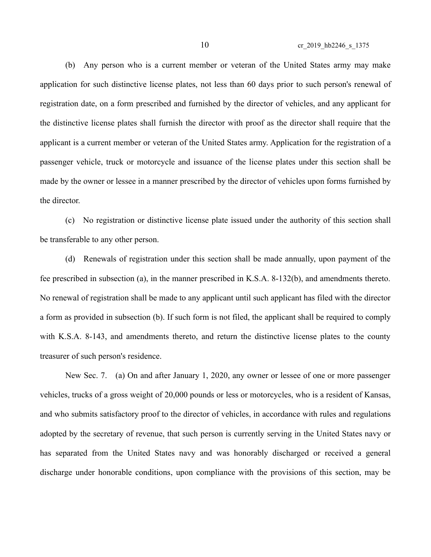(b) Any person who is a current member or veteran of the United States army may make application for such distinctive license plates, not less than 60 days prior to such person's renewal of registration date, on a form prescribed and furnished by the director of vehicles, and any applicant for the distinctive license plates shall furnish the director with proof as the director shall require that the applicant is a current member or veteran of the United States army. Application for the registration of a passenger vehicle, truck or motorcycle and issuance of the license plates under this section shall be made by the owner or lessee in a manner prescribed by the director of vehicles upon forms furnished by the director.

(c) No registration or distinctive license plate issued under the authority of this section shall be transferable to any other person.

(d) Renewals of registration under this section shall be made annually, upon payment of the fee prescribed in subsection (a), in the manner prescribed in K.S.A. 8-132(b), and amendments thereto. No renewal of registration shall be made to any applicant until such applicant has filed with the director a form as provided in subsection (b). If such form is not filed, the applicant shall be required to comply with K.S.A. 8-143, and amendments thereto, and return the distinctive license plates to the county treasurer of such person's residence.

New Sec. 7. (a) On and after January 1, 2020, any owner or lessee of one or more passenger vehicles, trucks of a gross weight of 20,000 pounds or less or motorcycles, who is a resident of Kansas, and who submits satisfactory proof to the director of vehicles, in accordance with rules and regulations adopted by the secretary of revenue, that such person is currently serving in the United States navy or has separated from the United States navy and was honorably discharged or received a general discharge under honorable conditions, upon compliance with the provisions of this section, may be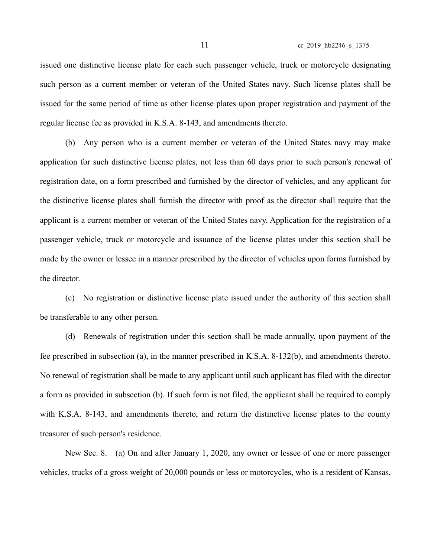issued one distinctive license plate for each such passenger vehicle, truck or motorcycle designating such person as a current member or veteran of the United States navy. Such license plates shall be issued for the same period of time as other license plates upon proper registration and payment of the regular license fee as provided in K.S.A. 8-143, and amendments thereto.

(b) Any person who is a current member or veteran of the United States navy may make application for such distinctive license plates, not less than 60 days prior to such person's renewal of registration date, on a form prescribed and furnished by the director of vehicles, and any applicant for the distinctive license plates shall furnish the director with proof as the director shall require that the applicant is a current member or veteran of the United States navy. Application for the registration of a passenger vehicle, truck or motorcycle and issuance of the license plates under this section shall be made by the owner or lessee in a manner prescribed by the director of vehicles upon forms furnished by the director.

(c) No registration or distinctive license plate issued under the authority of this section shall be transferable to any other person.

(d) Renewals of registration under this section shall be made annually, upon payment of the fee prescribed in subsection (a), in the manner prescribed in K.S.A. 8-132(b), and amendments thereto. No renewal of registration shall be made to any applicant until such applicant has filed with the director a form as provided in subsection (b). If such form is not filed, the applicant shall be required to comply with K.S.A. 8-143, and amendments thereto, and return the distinctive license plates to the county treasurer of such person's residence.

New Sec. 8. (a) On and after January 1, 2020, any owner or lessee of one or more passenger vehicles, trucks of a gross weight of 20,000 pounds or less or motorcycles, who is a resident of Kansas,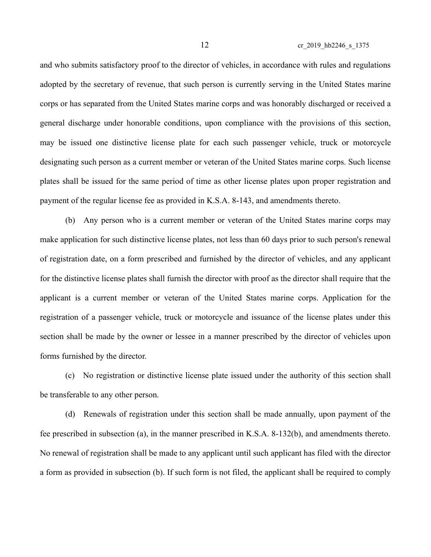and who submits satisfactory proof to the director of vehicles, in accordance with rules and regulations adopted by the secretary of revenue, that such person is currently serving in the United States marine corps or has separated from the United States marine corps and was honorably discharged or received a general discharge under honorable conditions, upon compliance with the provisions of this section, may be issued one distinctive license plate for each such passenger vehicle, truck or motorcycle designating such person as a current member or veteran of the United States marine corps. Such license plates shall be issued for the same period of time as other license plates upon proper registration and payment of the regular license fee as provided in K.S.A. 8-143, and amendments thereto.

(b) Any person who is a current member or veteran of the United States marine corps may make application for such distinctive license plates, not less than 60 days prior to such person's renewal of registration date, on a form prescribed and furnished by the director of vehicles, and any applicant for the distinctive license plates shall furnish the director with proof as the director shall require that the applicant is a current member or veteran of the United States marine corps. Application for the registration of a passenger vehicle, truck or motorcycle and issuance of the license plates under this section shall be made by the owner or lessee in a manner prescribed by the director of vehicles upon forms furnished by the director.

(c) No registration or distinctive license plate issued under the authority of this section shall be transferable to any other person.

(d) Renewals of registration under this section shall be made annually, upon payment of the fee prescribed in subsection (a), in the manner prescribed in K.S.A. 8-132(b), and amendments thereto. No renewal of registration shall be made to any applicant until such applicant has filed with the director a form as provided in subsection (b). If such form is not filed, the applicant shall be required to comply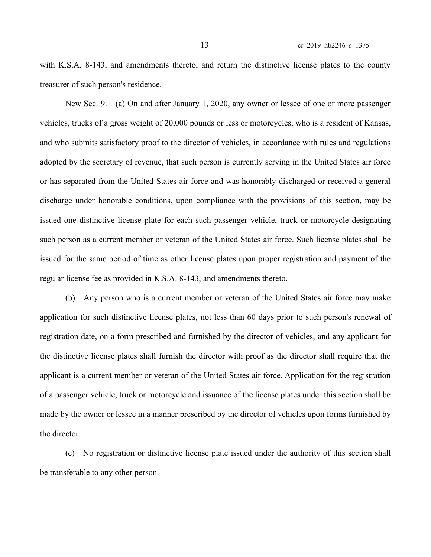with K.S.A. 8-143, and amendments thereto, and return the distinctive license plates to the county treasurer of such person's residence.

New Sec. 9. (a) On and after January 1, 2020, any owner or lessee of one or more passenger vehicles, trucks of a gross weight of 20,000 pounds or less or motorcycles, who is a resident of Kansas, and who submits satisfactory proof to the director of vehicles, in accordance with rules and regulations adopted by the secretary of revenue, that such person is currently serving in the United States air force or has separated from the United States air force and was honorably discharged or received a general discharge under honorable conditions, upon compliance with the provisions of this section, may be issued one distinctive license plate for each such passenger vehicle, truck or motorcycle designating such person as a current member or veteran of the United States air force. Such license plates shall be issued for the same period of time as other license plates upon proper registration and payment of the regular license fee as provided in K.S.A. 8-143, and amendments thereto.

(b) Any person who is a current member or veteran of the United States air force may make application for such distinctive license plates, not less than 60 days prior to such person's renewal of registration date, on a form prescribed and furnished by the director of vehicles, and any applicant for the distinctive license plates shall furnish the director with proof as the director shall require that the applicant is a current member or veteran of the United States air force. Application for the registration of a passenger vehicle, truck or motorcycle and issuance of the license plates under this section shall be made by the owner or lessee in a manner prescribed by the director of vehicles upon forms furnished by the director.

(c) No registration or distinctive license plate issued under the authority of this section shall be transferable to any other person.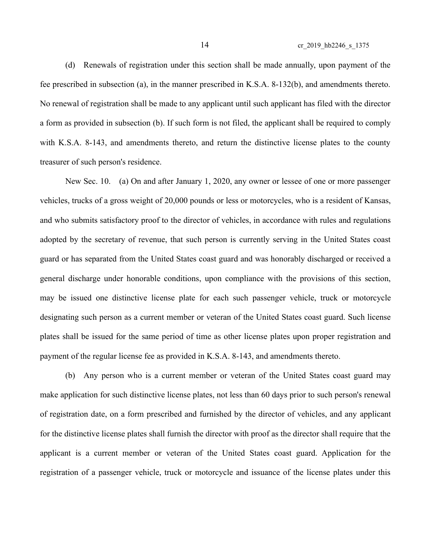14 cr\_2019\_hb2246\_s\_1375

(d) Renewals of registration under this section shall be made annually, upon payment of the fee prescribed in subsection (a), in the manner prescribed in K.S.A. 8-132(b), and amendments thereto. No renewal of registration shall be made to any applicant until such applicant has filed with the director a form as provided in subsection (b). If such form is not filed, the applicant shall be required to comply with K.S.A. 8-143, and amendments thereto, and return the distinctive license plates to the county treasurer of such person's residence.

New Sec. 10. (a) On and after January 1, 2020, any owner or lessee of one or more passenger vehicles, trucks of a gross weight of 20,000 pounds or less or motorcycles, who is a resident of Kansas, and who submits satisfactory proof to the director of vehicles, in accordance with rules and regulations adopted by the secretary of revenue, that such person is currently serving in the United States coast guard or has separated from the United States coast guard and was honorably discharged or received a general discharge under honorable conditions, upon compliance with the provisions of this section, may be issued one distinctive license plate for each such passenger vehicle, truck or motorcycle designating such person as a current member or veteran of the United States coast guard. Such license plates shall be issued for the same period of time as other license plates upon proper registration and payment of the regular license fee as provided in K.S.A. 8-143, and amendments thereto.

(b) Any person who is a current member or veteran of the United States coast guard may make application for such distinctive license plates, not less than 60 days prior to such person's renewal of registration date, on a form prescribed and furnished by the director of vehicles, and any applicant for the distinctive license plates shall furnish the director with proof as the director shall require that the applicant is a current member or veteran of the United States coast guard. Application for the registration of a passenger vehicle, truck or motorcycle and issuance of the license plates under this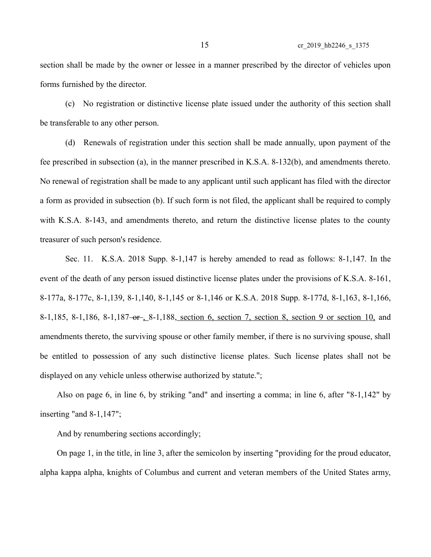section shall be made by the owner or lessee in a manner prescribed by the director of vehicles upon forms furnished by the director.

(c) No registration or distinctive license plate issued under the authority of this section shall be transferable to any other person.

(d) Renewals of registration under this section shall be made annually, upon payment of the fee prescribed in subsection (a), in the manner prescribed in K.S.A. 8-132(b), and amendments thereto. No renewal of registration shall be made to any applicant until such applicant has filed with the director a form as provided in subsection (b). If such form is not filed, the applicant shall be required to comply with K.S.A. 8-143, and amendments thereto, and return the distinctive license plates to the county treasurer of such person's residence.

Sec. 11. K.S.A. 2018 Supp. 8-1,147 is hereby amended to read as follows: 8-1,147. In the event of the death of any person issued distinctive license plates under the provisions of K.S.A. 8-161, 8-177a, 8-177c, 8-1,139, 8-1,140, 8-1,145 or 8-1,146 or K.S.A. 2018 Supp. 8-177d, 8-1,163, 8-1,166, 8-1,185, 8-1,186, 8-1,187-or 8-1,188, section 6, section 7, section 8, section 9 or section 10, and amendments thereto, the surviving spouse or other family member, if there is no surviving spouse, shall be entitled to possession of any such distinctive license plates. Such license plates shall not be displayed on any vehicle unless otherwise authorized by statute.";

Also on page 6, in line 6, by striking "and" and inserting a comma; in line 6, after "8-1,142" by inserting "and 8-1,147";

And by renumbering sections accordingly;

On page 1, in the title, in line 3, after the semicolon by inserting "providing for the proud educator, alpha kappa alpha, knights of Columbus and current and veteran members of the United States army,